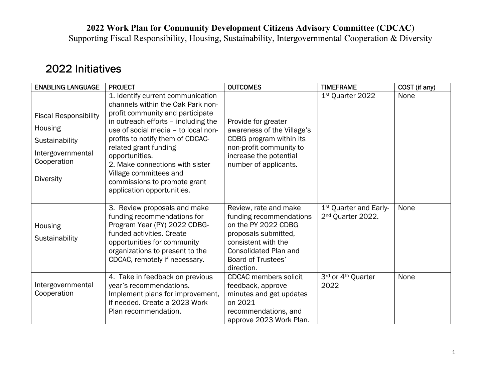**2022 Work Plan for Community Development Citizens Advisory Committee (CDCAC**)

Supporting Fiscal Responsibility, Housing, Sustainability, Intergovernmental Cooperation & Diversity

## 2022 Initiatives

| <b>ENABLING LANGUAGE</b>                                                                                          | <b>PROJECT</b>                                                                                                                                                                                                                                                                                                                                                                                     | <b>OUTCOMES</b>                                                                                                                                                                                   | <b>TIMEFRAME</b>                                                    | COST (if any) |
|-------------------------------------------------------------------------------------------------------------------|----------------------------------------------------------------------------------------------------------------------------------------------------------------------------------------------------------------------------------------------------------------------------------------------------------------------------------------------------------------------------------------------------|---------------------------------------------------------------------------------------------------------------------------------------------------------------------------------------------------|---------------------------------------------------------------------|---------------|
| <b>Fiscal Responsibility</b><br>Housing<br>Sustainability<br>Intergovernmental<br>Cooperation<br><b>Diversity</b> | 1. Identify current communication<br>channels within the Oak Park non-<br>profit community and participate<br>in outreach efforts - including the<br>use of social media - to local non-<br>profits to notify them of CDCAC-<br>related grant funding<br>opportunities.<br>2. Make connections with sister<br>Village committees and<br>commissions to promote grant<br>application opportunities. | Provide for greater<br>awareness of the Village's<br>CDBG program within its<br>non-profit community to<br>increase the potential<br>number of applicants.                                        | 1 <sup>st</sup> Quarter 2022                                        | None          |
| Housing<br>Sustainability                                                                                         | 3. Review proposals and make<br>funding recommendations for<br>Program Year (PY) 2022 CDBG-<br>funded activities. Create<br>opportunities for community<br>organizations to present to the<br>CDCAC, remotely if necessary.                                                                                                                                                                        | Review, rate and make<br>funding recommendations<br>on the PY 2022 CDBG<br>proposals submitted,<br>consistent with the<br><b>Consolidated Plan and</b><br><b>Board of Trustees'</b><br>direction. | 1 <sup>st</sup> Quarter and Early-<br>2 <sup>nd</sup> Quarter 2022. | None          |
| Intergovernmental<br>Cooperation                                                                                  | 4. Take in feedback on previous<br>year's recommendations.<br>Implement plans for improvement,<br>if needed. Create a 2023 Work<br>Plan recommendation.                                                                                                                                                                                                                                            | <b>CDCAC</b> members solicit<br>feedback, approve<br>minutes and get updates<br>on 2021<br>recommendations, and<br>approve 2023 Work Plan.                                                        | 3rd or 4th Quarter<br>2022                                          | None          |